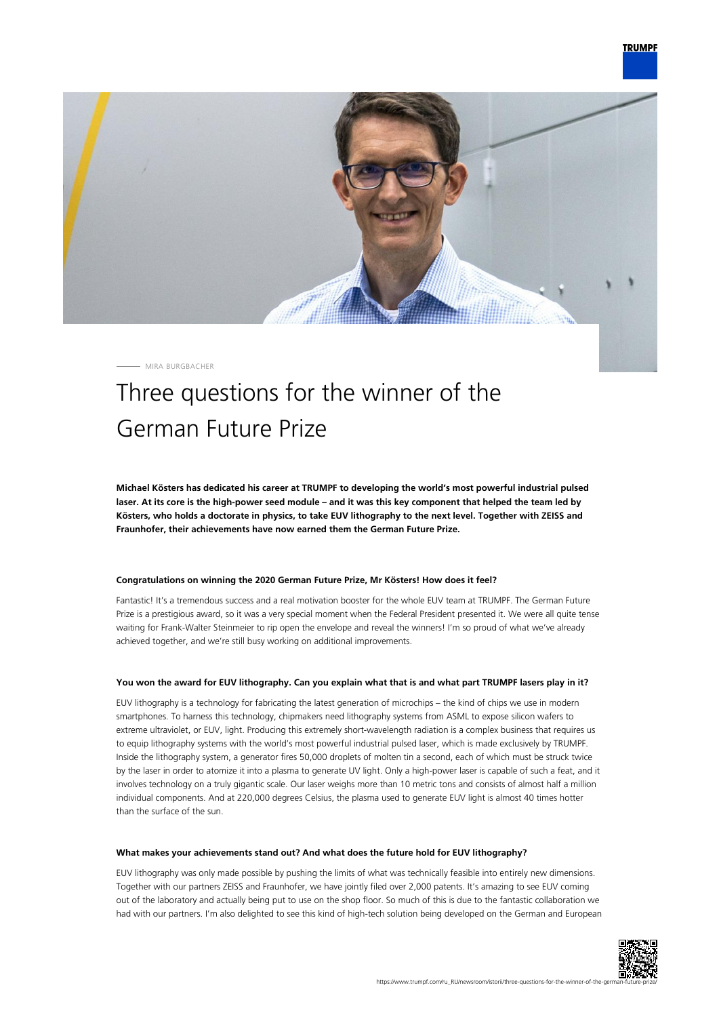

MIRA BURGBACHER

## Three questions for the winner of the German Future Prize

**Michael Kösters has dedicated his career at TRUMPF to developing the world's most powerful industrial pulsed laser. At its core is the high-power seed module – and it was this key component that helped the team led by Kösters, who holds a doctorate in physics, to take EUV lithography to the next level. Together with ZEISS and Fraunhofer, their achievements have now earned them the German Future Prize.**

## **Congratulations on winning the 2020 German Future Prize, Mr Kösters! How does it feel?**

Fantastic! It's a tremendous success and a real motivation booster for the whole EUV team at TRUMPF. The German Future Prize is a prestigious award, so it was a very special moment when the Federal President presented it. We were all quite tense waiting for Frank-Walter Steinmeier to rip open the envelope and reveal the winners! I'm so proud of what we've already achieved together, and we're still busy working on additional improvements.

## **You won the award for EUV lithography. Can you explain what that is and what part TRUMPF lasers play in it?**

EUV lithography is a technology for fabricating the latest generation of microchips – the kind of chips we use in modern smartphones. To harness this technology, chipmakers need lithography systems from ASML to expose silicon wafers to extreme ultraviolet, or EUV, light. Producing this extremely short-wavelength radiation is a complex business that requires us to equip lithography systems with the world's most powerful industrial pulsed laser, which is made exclusively by TRUMPF. Inside the lithography system, a generator fires 50,000 droplets of molten tin a second, each of which must be struck twice by the laser in order to atomize it into a plasma to generate UV light. Only a high-power laser is capable of such a feat, and it involves technology on a truly gigantic scale. Our laser weighs more than 10 metric tons and consists of almost half a million individual components. And at 220,000 degrees Celsius, the plasma used to generate EUV light is almost 40 times hotter than the surface of the sun.

## **What makes your achievements stand out? And what does the future hold for EUV lithography?**

EUV lithography was only made possible by pushing the limits of what was technically feasible into entirely new dimensions. Together with our partners ZEISS and Fraunhofer, we have jointly filed over 2,000 patents. It's amazing to see EUV coming out of the laboratory and actually being put to use on the shop floor. So much of this is due to the fantastic collaboration we had with our partners. I'm also delighted to see this kind of high-tech solution being developed on the German and European